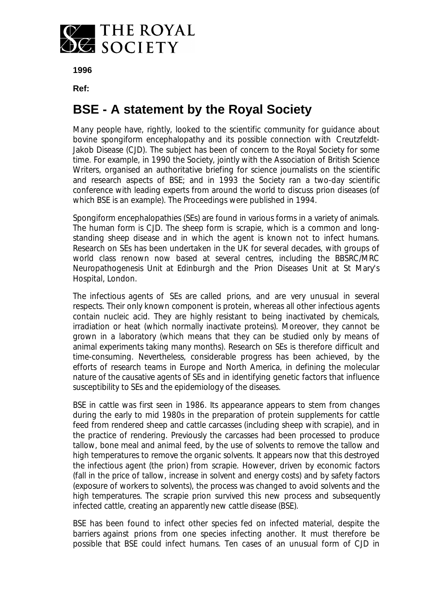

**1996**

**Ref:**

## **BSE - A statement by the Royal Society**

Many people have, rightly, looked to the scientific community for guidance about bovine spongiform encephalopathy and its possible connection with Creutzfeldt-Jakob Disease (CJD). The subject has been of concern to the Royal Society for some time. For example, in 1990 the Society, jointly with the Association of British Science Writers, organised an authoritative briefing for science journalists on the scientific and research aspects of BSE; and in 1993 the Society ran a two-day scientific conference with leading experts from around the world to discuss prion diseases (of which BSE is an example). The Proceedings were published in 1994.

Spongiform encephalopathies (SEs) are found in various forms in a variety of animals. The human form is CJD. The sheep form is scrapie, which is a common and longstanding sheep disease and in which the agent is known not to infect humans. Research on SEs has been undertaken in the UK for several decades, with groups of world class renown now based at several centres, including the BBSRC/MRC Neuropathogenesis Unit at Edinburgh and the Prion Diseases Unit at St Mary's Hospital, London.

The infectious agents of SEs are called prions, and are very unusual in several respects. Their only known component is protein, whereas all other infectious agents contain nucleic acid. They are highly resistant to being inactivated by chemicals, irradiation or heat (which normally inactivate proteins). Moreover, they cannot be grown in a laboratory (which means that they can be studied only by means of animal experiments taking many months). Research on SEs is therefore difficult and time-consuming. Nevertheless, considerable progress has been achieved, by the efforts of research teams in Europe and North America, in defining the molecular nature of the causative agents of SEs and in identifying genetic factors that influence susceptibility to SEs and the epidemiology of the diseases.

BSE in cattle was first seen in 1986. Its appearance appears to stem from changes during the early to mid 1980s in the preparation of protein supplements for cattle feed from rendered sheep and cattle carcasses (including sheep with scrapie), and in the practice of rendering. Previously the carcasses had been processed to produce tallow, bone meal and animal feed, by the use of solvents to remove the tallow and high temperatures to remove the organic solvents. It appears now that this destroyed the infectious agent (the prion) from scrapie. However, driven by economic factors (fall in the price of tallow, increase in solvent and energy costs) and by safety factors (exposure of workers to solvents), the process was changed to avoid solvents and the high temperatures. The scrapie prion survived this new process and subsequently infected cattle, creating an apparently new cattle disease (BSE).

BSE has been found to infect other species fed on infected material, despite the barriers against prions from one species infecting another. It must therefore be possible that BSE could infect humans. Ten cases of an unusual form of CJD in